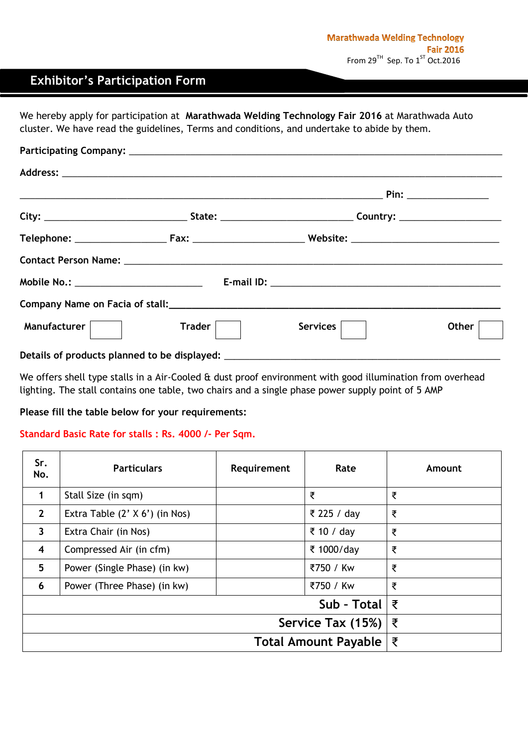## **Exhibitor's Participation Form**

We hereby apply for participation at **Marathwada Welding Technology Fair 2016** at Marathwada Auto cluster. We have read the guidelines, Terms and conditions, and undertake to abide by them.

| Manufacturer | $\mathsf{T} \mathsf{r}$ ader $\vert \qquad \vert$ | Services | Other |
|--------------|---------------------------------------------------|----------|-------|
|              |                                                   |          |       |

We offers shell type stalls in a Air-Cooled & dust proof environment with good illumination from overhead lighting. The stall contains one table, two chairs and a single phase power supply point of 5 AMP

**Please fill the table below for your requirements:**

## **Standard Basic Rate for stalls : Rs. 4000 /- Per Sqm.**

| Sr.<br>No.                  | <b>Particulars</b>               | Requirement | Rate        | Amount |
|-----------------------------|----------------------------------|-------------|-------------|--------|
| 1                           | Stall Size (in sqm)              |             | ₹           | ₹      |
| $\overline{2}$              | Extra Table $(2' X 6')$ (in Nos) |             | ₹ 225 / day | ₹      |
| $\overline{\mathbf{3}}$     | Extra Chair (in Nos)             |             | ₹ 10 / day  | ₹      |
| $\overline{\mathbf{4}}$     | Compressed Air (in cfm)          |             | ₹ 1000/day  | ₹      |
| 5                           | Power (Single Phase) (in kw)     |             | ₹750 / Kw   | ₹      |
| 6                           | Power (Three Phase) (in kw)      |             | ₹750 / Kw   | ₹      |
| Sub - Total $ $ ₹           |                                  |             |             |        |
| Service Tax (15%)           |                                  |             | ₹           |        |
| <b>Total Amount Payable</b> |                                  |             |             | ₹      |